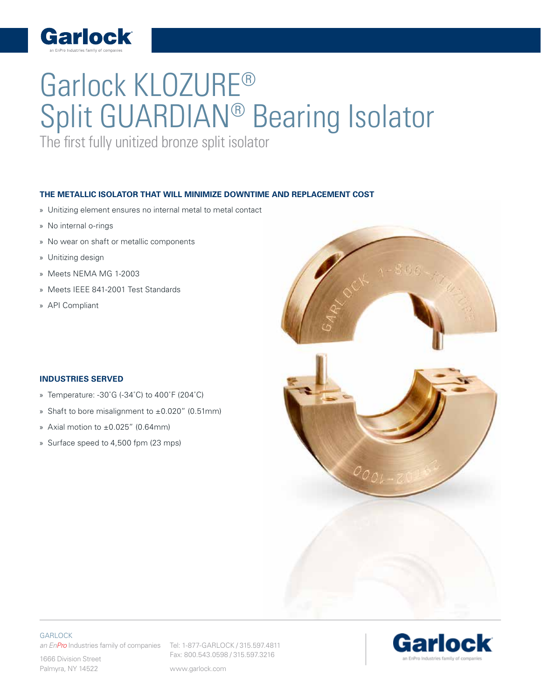

## Garlock KLOZURE® Split GUARDIAN® Bearing Isolator

The first fully unitized bronze split isolator

## **THE METALLIC ISOLATOR THAT WILL MINIMIZE DOWNTIME AND REPLACEMENT COST**

- » Unitizing element ensures no internal metal to metal contact
- » No internal o-rings
- » No wear on shaft or metallic components
- » Unitizing design
- » Meets NEMA MG 1-2003
- » Meets IEEE 841-2001 Test Standards
- » API Compliant

## **INDUSTRIES SERVED**

- » Temperature: -30˚G (-34˚C) to 400˚F (204˚C)
- » Shaft to bore misalignment to ±0.020" (0.51mm)
- » Axial motion to ±0.025" (0.64mm)
- » Surface speed to 4,500 fpm (23 mps)



**GARLOCK** 

an EnPro Industries family of companies Tel: 1-877-GARLOCK / 315.597.4811

1666 Division Street Palmyra, NY 14522

Fax: 800.543.0598 / 315.597.3216

www.garlock.com